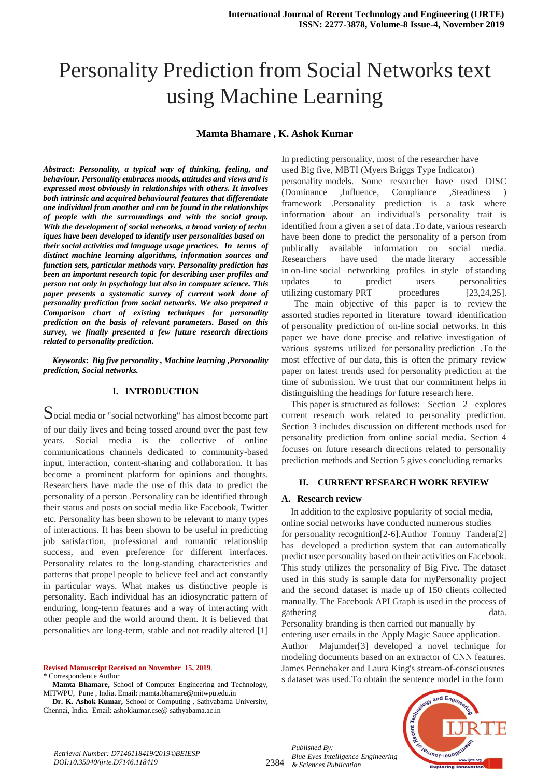# Personality Prediction from Social Networks text using Machine Learning

#### **Mamta Bhamare , K. Ashok Kumar**

*Abstract***:** *Personality, a typical way of thinking, feeling, and behaviour. Personality embraces moods, attitudes and views and is expressed most obviously in relationships with others. It involves both intrinsic and acquired behavioural features that differentiate one individual from another and can be found in the relationships of people with the surroundings and with the social group. With the development of social networks, a broad variety of techn iques have been developed to identify user personalities based on their social activities and language usage practices. In terms of distinct machine learning algorithms, information sources and function sets, particular methods vary. Personality prediction has been an important research topic for describing user profiles and person not only in psychology but also in computer science. This paper presents a systematic survey of current work done of personality prediction from social networks. We also prepared a Comparison chart of existing techniques for personality prediction on the basis of relevant parameters. Based on this survey, we finally presented a few future research directions related to personality prediction.*

*Keywords***:** *Big five personality , Machine learning ,Personality prediction, Social networks.*

#### **I. INTRODUCTION**

Social media or "social networking" has almost become part of our daily lives and being tossed around over the past few years. Social media is the collective of online communications channels dedicated to community-based input, interaction, content-sharing and collaboration. It has become a prominent platform for opinions and thoughts. Researchers have made the use of this data to predict the personality of a person .Personality can be identified through their status and posts on social media like Facebook, Twitter etc. Personality has been shown to be relevant to many types of interactions. It has been shown to be useful in predicting job satisfaction, professional and romantic relationship success, and even preference for different interfaces. Personality relates to the long-standing characteristics and patterns that propel people to believe feel and act constantly in particular ways. What makes us distinctive people is personality. Each individual has an idiosyncratic pattern of enduring, long-term features and a way of interacting with other people and the world around them. It is believed that personalities are long-term, stable and not readily altered [1]

**Revised Manuscript Received on November 15, 2019**. **\*** Correspondence Author

**Dr. K. Ashok Kumar,** School of Computing , Sathyabama University, Chennai, India. Email: ashokkumar.cse@ sathyabama.ac.in

In predicting personality, most of the researcher have used Big five, MBTI (Myers Briggs Type Indicator) personality models. Some researcher have used DISC (Dominance ,Influence, Compliance ,Steadiness ) framework .Personality prediction is a task where information about an individual's personality trait is identified from a given a set of data .To date, various research have been done to predict the personality of a person from publically available information on social media. Researchers have used the made literary accessible in on-line social networking profiles in style of standing updates to predict users personalities utilizing customary PRT procedures [23,24,25]. The main objective of this paper is to review the assorted studies reported in literature toward identification of personality prediction of on-line social networks. In this paper we have done precise and relative investigation of

various systems utilized for personality prediction .To the most effective of our data, this is often the primary review paper on latest trends used for personality prediction at the time of submission. We trust that our commitment helps in distinguishing the headings for future research here.

This paper is structured as follows: Section 2 explores current research work related to personality prediction. Section 3 includes discussion on different methods used for personality prediction from online social media. Section 4 focuses on future research directions related to personality prediction methods and Section 5 gives concluding remarks

#### **II. CURRENT RESEARCH WORK REVIEW**

#### **A. Research review**

In addition to the explosive popularity of social media, online social networks have conducted numerous studies for personality recognition[2-6].Author Tommy Tandera[2] has developed a prediction system that can automatically predict user personality based on their activities on Facebook. This study utilizes the personality of Big Five. The dataset used in this study is sample data for myPersonality project and the second dataset is made up of 150 clients collected manually. The Facebook API Graph is used in the process of gathering data.

Personality branding is then carried out manually by

entering user emails in the Apply Magic Sauce application. Author Majumder[3] developed a novel technique for modeling documents based on an extractor of CNN features. James Pennebaker and Laura King's stream-of-consciousnes s dataset was used.To obtain the sentence model in the form



2384 *Blue Eyes Intelligence Engineering & Sciences Publication* 

*Published By:*

**Mamta Bhamare,** School of Computer Engineering and Technology, MITWPU, Pune , India. Email: mamta.bhamare@mitwpu.edu.in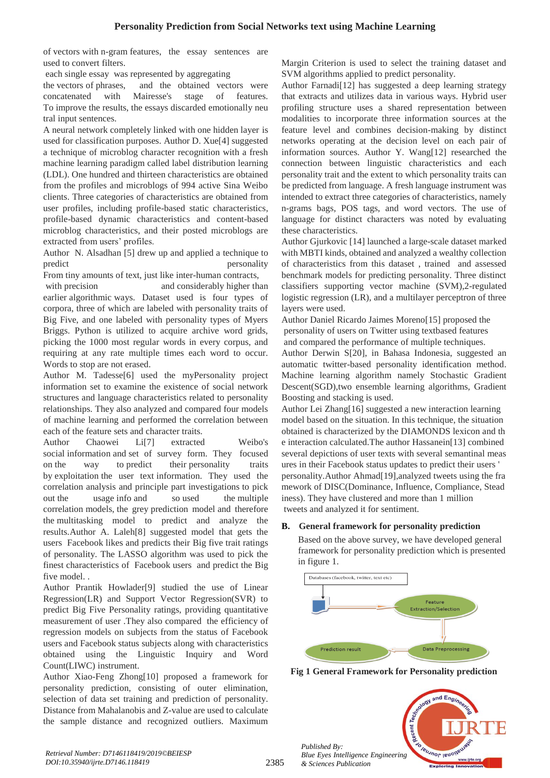of vectors with n-gram features, the essay sentences are used to convert filters.

each single essay was represented by aggregating

the vectors of phrases, and the obtained vectors were concatenated with Mairesse's stage of features. To improve the results, the essays discarded emotionally neu tral input sentences.

A neural network completely linked with one hidden layer is used for classification purposes. Author D. Xue[4] suggested a technique of microblog character recognition with a fresh machine learning paradigm called label distribution learning (LDL). One hundred and thirteen characteristics are obtained from the profiles and microblogs of 994 active Sina Weibo clients. Three categories of characteristics are obtained from user profiles, including profile-based static characteristics, profile-based dynamic characteristics and content-based microblog characteristics, and their posted microblogs are extracted from users' profiles.

Author N. Alsadhan [5] drew up and applied a technique to predict personality

From tiny amounts of text, just like inter-human contracts,

with precision and considerably higher than earlier algorithmic ways. Dataset used is four types of corpora, three of which are labeled with personality traits of Big Five, and one labeled with personality types of Myers Briggs. Python is utilized to acquire archive word grids, picking the 1000 most regular words in every corpus, and requiring at any rate multiple times each word to occur. Words to stop are not erased.

Author M. Tadesse[6] used the myPersonality project information set to examine the existence of social network structures and language characteristics related to personality relationships. They also analyzed and compared four models of machine learning and performed the correlation between each of the feature sets and character traits.

Author Chaowei Li[7] extracted Weibo's social information and set of survey form. They focused on the way to predict their personality traits by exploitation the user text information. They used the correlation analysis and principle part investigations to pick out the usage info and so used the multiple correlation models, the grey prediction model and therefore the multitasking model to predict and analyze the results.Author A. Laleh[8] suggested model that gets the users Facebook likes and predicts their Big five trait ratings of personality. The LASSO algorithm was used to pick the finest characteristics of Facebook users and predict the Big five model. .

Author Prantik Howlader[9] studied the use of Linear Regression(LR) and Support Vector Regression(SVR) to predict Big Five Personality ratings, providing quantitative measurement of user .They also compared the efficiency of regression models on subjects from the status of Facebook users and Facebook status subjects along with characteristics obtained using the Linguistic Inquiry and Word Count(LIWC) instrument.

Author Xiao-Feng Zhong[10] proposed a framework for personality prediction, consisting of outer elimination, selection of data set training and prediction of personality. Distance from Mahalanobis and Z-value are used to calculate the sample distance and recognized outliers. Maximum

Margin Criterion is used to select the training dataset and SVM algorithms applied to predict personality.

Author Farnadi[12] has suggested a deep learning strategy that extracts and utilizes data in various ways. Hybrid user profiling structure uses a shared representation between modalities to incorporate three information sources at the feature level and combines decision-making by distinct networks operating at the decision level on each pair of information sources. Author Y. Wang[12] researched the connection between linguistic characteristics and each personality trait and the extent to which personality traits can be predicted from language. A fresh language instrument was intended to extract three categories of characteristics, namely n-grams bags, POS tags, and word vectors. The use of language for distinct characters was noted by evaluating these characteristics.

Author Gjurkovic [14] launched a large-scale dataset marked with MBTI kinds, obtained and analyzed a wealthy collection of characteristics from this dataset , trained and assessed benchmark models for predicting personality. Three distinct classifiers supporting vector machine (SVM),2-regulated logistic regression (LR), and a multilayer perceptron of three layers were used.

Author Daniel Ricardo Jaimes Moreno[15] proposed the personality of users on Twitter using textbased features and compared the performance of multiple techniques.

Author Derwin S[20], in Bahasa Indonesia, suggested an automatic twitter-based personality identification method. Machine learning algorithm namely Stochastic Gradient Descent(SGD),two ensemble learning algorithms, Gradient Boosting and stacking is used.

Author Lei Zhang[16] suggested a new interaction learning model based on the situation. In this technique, the situation obtained is characterized by the DIAMONDS lexicon and th e interaction calculated.The author Hassanein[13] combined several depictions of user texts with several semantinal meas ures in their Facebook status updates to predict their users ' personality.Author Ahmad[19],analyzed tweets using the fra mework of DISC(Dominance, Influence, Compliance, Stead iness). They have clustered and more than 1 million tweets and analyzed it for sentiment.

## **B. General framework for personality prediction**

Based on the above survey, we have developed general framework for personality prediction which is presented in figure 1.



**Fig 1 General Framework for Personality prediction**

*Published By: Blue Eyes Intelligence Engineering & Sciences Publication* 

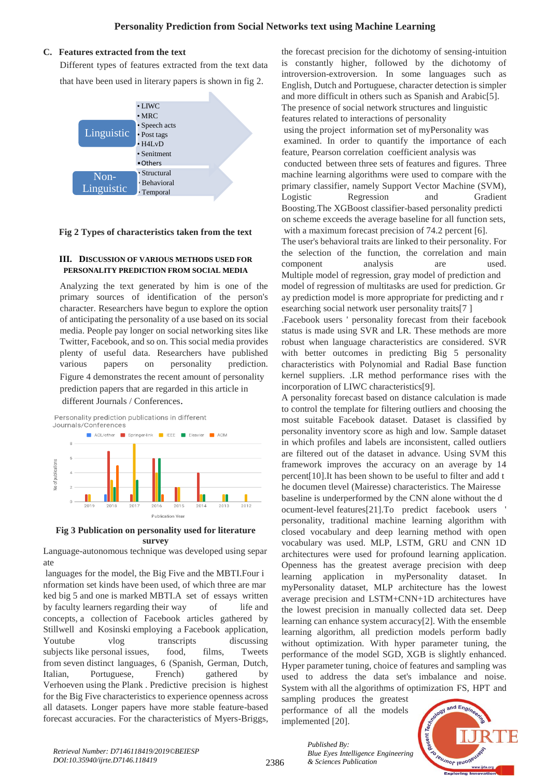## **C. Features extracted from the text**

Different types of features extracted from the text data that have been used in literary papers is shown in fig 2.



# **Fig 2 Types of characteristics taken from the text**

### **III. DISCUSSION OF VARIOUS METHODS USED FOR PERSONALITY PREDICTION FROM SOCIAL MEDIA**

Analyzing the text generated by him is one of the primary sources of identification of the person's character. Researchers have begun to explore the option of anticipating the personality of a use based on its social media. People pay longer on social networking sites like Twitter, Facebook, and so on. This social media provides plenty of useful data. Researchers have published various papers on personality prediction. Figure 4 demonstrates the recent amount of personality prediction papers that are regarded in this article in

different Journals / Conferences.



#### **Fig 3 Publication on personality used for literature survey**

Language-autonomous technique was developed using separ ate

languages for the model, the Big Five and the MBTI.Four i nformation set kinds have been used, of which three are mar ked big 5 and one is marked MBTI.A set of essays written by faculty learners regarding their way of life and concepts, a collection of Facebook articles gathered by Stillwell and Kosinski employing a Facebook application, Youtube vlog transcripts discussing subjects like personal issues, food, films, Tweets from seven distinct languages, 6 (Spanish, German, Dutch, Italian, Portuguese, French) gathered by Verhoeven using the Plank . Predictive precision is highest for the Big Five characteristics to experience openness across all datasets. Longer papers have more stable feature-based forecast accuracies. For the characteristics of Myers-Briggs,

the forecast precision for the dichotomy of sensing-intuition is constantly higher, followed by the dichotomy of introversion-extroversion. In some languages such as English, Dutch and Portuguese, character detection is simpler and more difficult in others such as Spanish and Arabic[5]. The presence of social network structures and linguistic features related to interactions of personality using the project information set of myPersonality was examined. In order to quantify the importance of each feature, Pearson correlation coefficient analysis was conducted between three sets of features and figures. Three machine learning algorithms were used to compare with the primary classifier, namely Support Vector Machine (SVM), Logistic Regression and Gradient Boosting.The XGBoost classifier-based personality predicti on scheme exceeds the average baseline for all function sets, with a maximum forecast precision of 74.2 percent [6]. The user's behavioral traits are linked to their personality. For the selection of the function, the correlation and main component analysis are used. Multiple model of regression, gray model of prediction and model of regression of multitasks are used for prediction. Gr ay prediction model is more appropriate for predicting and r esearching social network user personality traits[7 ] .Facebook users ' personality forecast from their facebook status is made using SVR and LR. These methods are more robust when language characteristics are considered. SVR with better outcomes in predicting Big 5 personality characteristics with Polynomial and Radial Base function kernel suppliers. .LR method performance rises with the

incorporation of LIWC characteristics[9]. A personality forecast based on distance calculation is made to control the template for filtering outliers and choosing the most suitable Facebook dataset. Dataset is classified by personality inventory score as high and low. Sample dataset in which profiles and labels are inconsistent, called outliers are filtered out of the dataset in advance. Using SVM this framework improves the accuracy on an average by 14 percent[10].It has been shown to be useful to filter and add t he documen tlevel (Mairesse) characteristics. The Mairesse baseline is underperformed by the CNN alone without the d ocument-level features[21].To predict facebook users ' personality, traditional machine learning algorithm with closed vocabulary and deep learning method with open vocabulary was used. MLP, LSTM, GRU and CNN 1D architectures were used for profound learning application. Openness has the greatest average precision with deep learning application in myPersonality dataset. In myPersonality dataset, MLP architecture has the lowest average precision and LSTM+CNN+1D architectures have the lowest precision in manually collected data set. Deep learning can enhance system accuracy[2]. With the ensemble learning algorithm, all prediction models perform badly without optimization. With hyper parameter tuning, the performance of the model SGD, XGB is slightly enhanced. Hyper parameter tuning, choice of features and sampling was used to address the data set's imbalance and noise. System with all the algorithms of optimization FS, HPT and

sampling produces the greatest performance of all the models implemented [20].

*& Sciences Publication* 

*Blue Eyes Intelligence Engineering* 

*Published By:*



2386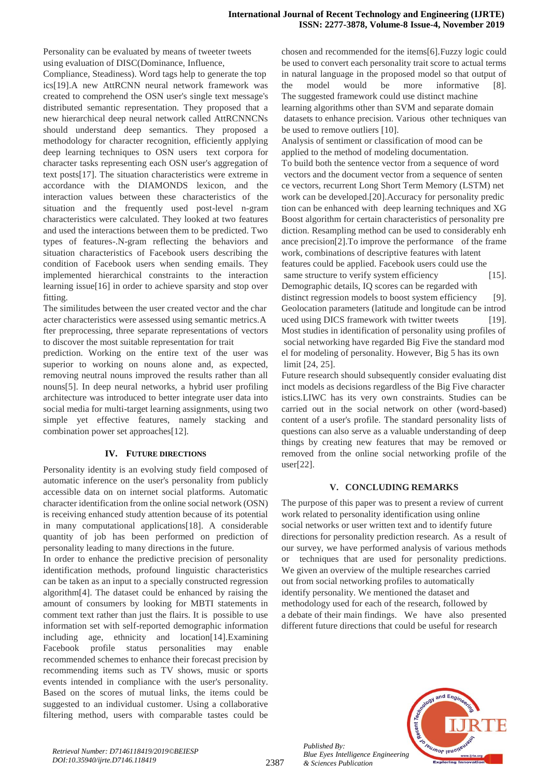Personality can be evaluated by means of tweeter tweets using evaluation of DISC(Dominance, Influence,

Compliance, Steadiness). Word tags help to generate the top ics[19].A new AttRCNN neural network framework was created to comprehend the OSN user's single text message's distributed semantic representation. They proposed that a new hierarchical deep neural network called AttRCNNCNs should understand deep semantics. They proposed a methodology for character recognition, efficiently applying deep learning techniques to OSN users text corpora for character tasks representing each OSN user's aggregation of text posts[17]. The situation characteristics were extreme in accordance with the DIAMONDS lexicon, and the interaction values between these characteristics of the situation and the frequently used post-level n-gram characteristics were calculated. They looked at two features and used the interactions between them to be predicted. Two types of features-.N-gram reflecting the behaviors and situation characteristics of Facebook users describing the condition of Facebook users when sending emails. They implemented hierarchical constraints to the interaction learning issue[16] in order to achieve sparsity and stop over fitting.

The similitudes between the user created vector and the char acter characteristics were assessed using semantic metrics.A fter preprocessing, three separate representations of vectors to discover the most suitable representation for trait

prediction. Working on the entire text of the user was superior to working on nouns alone and, as expected, removing neutral nouns improved the results rather than all nouns[5]. In deep neural networks, a hybrid user profiling architecture was introduced to better integrate user data into social media for multi-target learning assignments, using two simple yet effective features, namely stacking and combination power set approaches[12].

#### **IV. FUTURE DIRECTIONS**

Personality identity is an evolving study field composed of automatic inference on the user's personality from publicly accessible data on on internet social platforms. Automatic character identification from the online social network (OSN) is receiving enhanced study attention because of its potential in many computational applications[18]. A considerable quantity of job has been performed on prediction of personality leading to many directions in the future.

In order to enhance the predictive precision of personality identification methods, profound linguistic characteristics can be taken as an input to a specially constructed regression algorithm[4]. The dataset could be enhanced by raising the amount of consumers by looking for MBTI statements in comment text rather than just the flairs. It is possible to use information set with self-reported demographic information including age, ethnicity and location[14].Examining Facebook profile status personalities may enable recommended schemes to enhance their forecast precision by recommending items such as TV shows, music or sports events intended in compliance with the user's personality. Based on the scores of mutual links, the items could be suggested to an individual customer. Using a collaborative filtering method, users with comparable tastes could be chosen and recommended for the items[6].Fuzzy logic could be used to convert each personality trait score to actual terms in natural language in the proposed model so that output of the model would be more informative [8]. The suggested framework could use distinct machine learning algorithms other than SVM and separate domain datasets to enhance precision. Various other techniques van be used to remove outliers [10].

Analysis of sentiment or classification of mood can be applied to the method of modeling documentation. To build both the sentence vector from a sequence of word vectors and the document vector from a sequence of senten ce vectors, recurrent Long Short Term Memory (LSTM) net work can be developed.[20].Accuracy for personality predic tion can be enhanced with deep learning techniques and XG Boost algorithm for certain characteristics of personality pre diction. Resampling method can be used to considerably enh ance precision[2].To improve the performance of the frame work, combinations of descriptive features with latent features could be applied. Facebook users could use the same structure to verify system efficiency [15]. Demographic details, IQ scores can be regarded with distinct regression models to boost system efficiency [9]. Geolocation parameters (latitude and longitude can be introd uced using DICS framework with twitter tweets [19]. Most studies in identification of personality using profiles of social networking have regarded Big Five the standard mod el for modeling of personality. However, Big 5 has its own limit [24, 25].

Future research should subsequently consider evaluating dist inct models as decisions regardless of the Big Five character istics.LIWC has its very own constraints. Studies can be carried out in the social network on other (word-based) content of a user's profile. The standard personality lists of questions can also serve as a valuable understanding of deep things by creating new features that may be removed or removed from the online social networking profile of the user[22].

#### **V. CONCLUDING REMARKS**

The purpose of this paper was to present a review of current work related to personality identification using online social networks or user written text and to identify future directions for personality prediction research. As a result of our survey, we have performed analysis of various methods or techniques that are used for personality predictions. We given an overview of the multiple researches carried out from social networking profiles to automatically identify personality. We mentioned the dataset and methodology used for each of the research, followed by a debate of their main findings. We have also presented different future directions that could be useful for research



*Published By:*

*& Sciences Publication*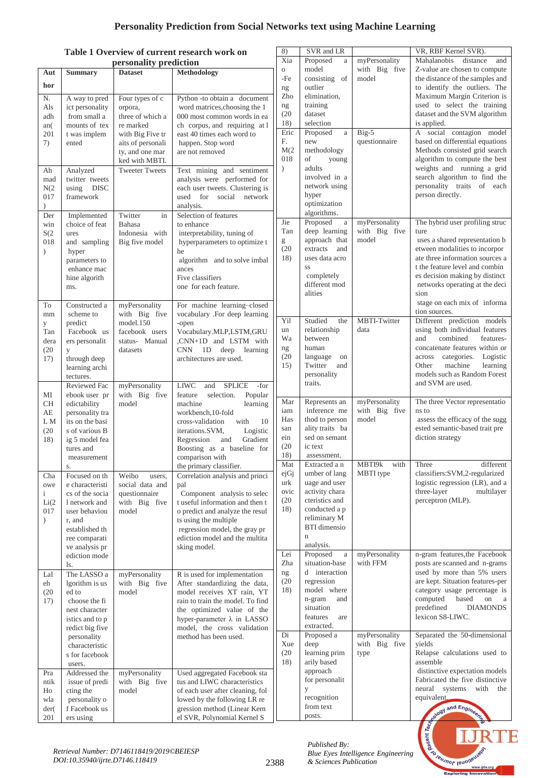# **Personality Prediction from Social Networks text using Machine Learning**

# **Table 1 Overview of current research work on**

|                                                                                                         | Table 1 Overview of current research work on |                                   |                                                                   | 8)              | SVR and LR                            |                                | VR, RBF Kernel SVR).                                              |
|---------------------------------------------------------------------------------------------------------|----------------------------------------------|-----------------------------------|-------------------------------------------------------------------|-----------------|---------------------------------------|--------------------------------|-------------------------------------------------------------------|
|                                                                                                         | personality prediction                       |                                   |                                                                   | Xia             | Proposed<br>$\rm{a}$                  | myPersonality                  | Mahalanobis<br>distance<br>and                                    |
| Aut                                                                                                     | <b>Summary</b>                               | <b>Dataset</b>                    | Methodology                                                       | $\rm{O}$<br>-Fe | model<br>consisting of                | with Big five<br>model         | Z-value are chosen to compute<br>the distance of the samples and  |
| hor                                                                                                     |                                              |                                   |                                                                   | ng              | outlier                               |                                | to identify the outliers. The                                     |
| N.                                                                                                      | A way to pred                                | Four types of c                   | Python -to obtain a document                                      | Zho             | elimination,                          |                                | Maximum Margin Criterion is                                       |
| Als                                                                                                     | ict personality                              | orpora,                           | word matrices, choosing the 1                                     | ng<br>(20)      | training<br>dataset                   |                                | used to select the training<br>dataset and the SVM algorithm      |
| adh<br>an(                                                                                              | from small a<br>mounts of tex                | three of which a<br>re marked     | 000 most common words in ea<br>ch corpus, and requiring at l      | 18)             | selection                             |                                | is applied.                                                       |
| 201                                                                                                     | t was implem                                 | with Big Five tr                  | east 40 times each word to                                        | Eric            | Proposed<br>$\rm{a}$                  | Big-5                          | A social contagion model                                          |
| 7)                                                                                                      | ented                                        | aits of personali                 | happen. Stop word                                                 | F.<br>M(2)      | new                                   | questionnaire                  | based on differential equations<br>Methods consisted grid search  |
|                                                                                                         |                                              | ty, and one mar<br>ked with MBTI. | are not removed                                                   | 018             | methodology<br>of<br>young            |                                | algorithm to compute the best                                     |
| Ah                                                                                                      | Analyzed                                     | <b>Tweeter Tweets</b>             | Text mining and sentiment                                         | $\lambda$       | adults                                |                                | weights and running a grid                                        |
| mad                                                                                                     | twitter tweets                               |                                   | analysis were performed for                                       |                 | involved in a                         |                                | search algorithm to find the                                      |
| N(2)<br>017                                                                                             | using DISC<br>framework                      |                                   | each user tweets. Clustering is<br>used for social network        |                 | network using<br>hyper                |                                | personality traits of each<br>person directly.                    |
| $\lambda$                                                                                               |                                              |                                   | analysis.                                                         |                 | optimization                          |                                |                                                                   |
| Der                                                                                                     | Implemented                                  | Twitter<br>in                     | Selection of features                                             | Jie             | algorithms.                           | myPersonality                  | The hybrid user profiling struc                                   |
| win<br>S(2)                                                                                             | choice of feat<br>ures                       | Bahasa<br>Indonesia with          | to enhance<br>interpretability, tuning of                         | Tan             | Proposed<br>$\rm{a}$<br>deep learning | with Big five                  | ture                                                              |
| 018                                                                                                     | and sampling                                 | Big five model                    | hyperparameters to optimize t                                     | g               | approach that                         | model                          | uses a shared representation b                                    |
| $\lambda$                                                                                               | hyper                                        |                                   | he                                                                | (20)            | extracts<br>and                       |                                | etween modalities to incorpor                                     |
|                                                                                                         | parameters to<br>enhance mac                 |                                   | algorithm and to solve imbal<br>ances                             | 18)             | uses data acro<br>SS                  |                                | ate three information sources a<br>t the feature level and combin |
|                                                                                                         | hine algorith                                |                                   | Five classifiers                                                  |                 | completely                            |                                | es decision making by distinct                                    |
|                                                                                                         | ms.                                          |                                   | one for each feature.                                             |                 | different mod                         |                                | networks operating at the deci                                    |
|                                                                                                         | Constructed a                                |                                   |                                                                   |                 | alities                               |                                | sion<br>stage on each mix of informa                              |
| To<br>mm                                                                                                | scheme to                                    | myPersonality<br>with Big five    | For machine learning-closed<br>vocabulary .For deep learning      |                 |                                       |                                | tion sources.                                                     |
| у                                                                                                       | predict                                      | model.150                         | -open                                                             | Yil             | Studied<br>the                        | MBTI-Twitter                   | Different prediction models                                       |
| Tan                                                                                                     | Facebook us                                  | facebook users                    | Vocabulary.MLP,LSTM,GRU<br>,CNN+1D and LSTM with                  | un<br>Wa        | relationship<br>between               | data                           | using both individual features<br>and<br>combined<br>features-    |
| dera<br>(20)                                                                                            | ers personalit<br>y                          | status- Manual<br>datasets        | CNN 1D deep<br>learning                                           | ng              | human                                 |                                | concatenate features within or                                    |
| 17)                                                                                                     | through deep                                 |                                   | architectures are used.                                           | (20)            | language<br>on                        |                                | Logistic<br>across<br>categories.                                 |
|                                                                                                         | learning archi                               |                                   |                                                                   | 15)             | Twitter<br>and<br>personality         |                                | machine<br>Other<br>learning<br>models such as Random Forest      |
|                                                                                                         | tectures.<br>Reviewed Fac                    | myPersonality                     | <b>LIWC</b><br><b>SPLICE</b><br>and<br>-for                       |                 | traits.                               |                                | and SVM are used.                                                 |
| MI                                                                                                      | ebook user pr                                | with Big five                     | feature<br>selection.<br>Popular                                  |                 |                                       |                                |                                                                   |
| <b>CH</b>                                                                                               | edictability                                 | model                             | machine<br>learning<br>workbench.10-fold                          | Mar<br>iam      | Represents an<br>inference me         | myPersonality<br>with Big five | The three Vector representatio<br>ns to                           |
| AE<br>L M                                                                                               | personality tra<br>its on the basi           |                                   | cross-validation<br>with<br>10                                    | Has             | thod to person                        | model                          | assess the efficacy of the sugg                                   |
| (20)                                                                                                    | s of various B                               |                                   | Logistic<br>iterations.SVM,                                       | san             | ality traits ba                       |                                | ested semantic-based trait pre                                    |
| 18)                                                                                                     | ig 5 model fea                               |                                   | Gradient<br>Regression<br>and                                     | ein<br>(20)     | sed on semant<br>ic text              |                                | diction strategy                                                  |
|                                                                                                         | tures and<br>measurement                     |                                   | Boosting as a baseline for<br>comparison with                     | 18)             | assessment.                           |                                |                                                                   |
|                                                                                                         | S.                                           |                                   | the primary classifier.                                           | Mat             | Extracted a n                         | MBTI9k<br>with                 | different<br>Three                                                |
| Cha                                                                                                     | Focused on th                                | Weibo<br>users,                   | Correlation analysis and princi                                   | ejGj<br>urk     | umber of lang<br>uage and user        | MBTI type                      | classifiers:SVM,2-regularized<br>logistic regression (LR), and a  |
| owe<br>$\mathbf{i}$                                                                                     | e characteristi<br>cs of the socia           | social data and<br>questionnaire  | pal<br>Component analysis to selec                                | ovic            | activity chara                        |                                | three-layer<br>multilayer                                         |
| Li(2)                                                                                                   | 1 network and                                | with Big five                     | t useful information and then t                                   | (20)            | cteristics and                        |                                | perceptron (MLP).                                                 |
| 017                                                                                                     | user behaviou                                | model                             | o predict and analyze the resul                                   | 18)             | conducted a p<br>reliminary M         |                                |                                                                   |
| $\mathcal{L}$                                                                                           | r, and<br>established th                     |                                   | ts using the multiple<br>regression model, the gray pr            |                 | <b>BTI</b> dimensio                   |                                |                                                                   |
|                                                                                                         | ree comparati                                |                                   | ediction model and the multita                                    |                 | $\mathbf n$                           |                                |                                                                   |
|                                                                                                         | ve analysis pr<br>ediction mode              |                                   | sking model.                                                      | Lei             | analysis.<br>Proposed<br>$\rm{a}$     | myPersonality                  | n-gram features, the Facebook                                     |
|                                                                                                         | ls.                                          |                                   |                                                                   | Zha             | situation-base                        | with FFM                       | posts are scanned and n-grams                                     |
| Lal                                                                                                     | The LASSO a                                  | myPersonality                     | R is used for implementation                                      | ng              | d interaction                         |                                | used by more than 5% users                                        |
| eh                                                                                                      | lgorithm is us<br>ed to                      | with Big five                     | After standardizing the data,<br>model receives XT rain, YT       | (20)<br>18)     | regression<br>model where             |                                | are kept. Situation features-per<br>category usage percentage is  |
| (20)<br>17)                                                                                             | choose the fi                                | model                             | rain to train the model. To find                                  |                 | n-gram<br>and                         |                                | computed<br>based<br>on<br><sub>a</sub>                           |
|                                                                                                         | nest character                               |                                   | the optimized value of the                                        |                 | situation                             |                                | predefined<br><b>DIAMONDS</b>                                     |
|                                                                                                         | istics and to p<br>redict big five           |                                   | hyper-parameter $\lambda$ in LASSO<br>model, the cross validation |                 | features<br>are<br>extracted.         |                                | lexicon S8-LIWC.                                                  |
|                                                                                                         | personality                                  |                                   | method has been used.                                             | Di              | Proposed a                            | myPersonality                  | Separated the 50-dimensional                                      |
|                                                                                                         | characteristic                               |                                   |                                                                   | Xue             | deep                                  | with Big five                  | yields                                                            |
|                                                                                                         | s for facebook<br>users.                     |                                   |                                                                   | (20)<br>18)     | learning prim<br>arily based          | type                           | Relapse calculations used to<br>assemble                          |
| Pra                                                                                                     | Addressed the                                | myPersonality                     | Used aggregated Facebook sta                                      |                 | approach                              |                                | distinctive expectation models                                    |
| ntik                                                                                                    | issue of predi                               | with Big five                     | tus and LIWC characteristics                                      |                 | for personalit                        |                                | Fabricated the five distinctive                                   |
| Ho                                                                                                      | cting the                                    | model                             | of each user after cleaning, fol                                  |                 | y<br>recognition                      |                                | systems with<br>neural<br>the<br>equivalent.                      |
| wla<br>der(                                                                                             | personality o<br>f Facebook us               |                                   | lowed by the following LR re<br>gression method (Linear Kern      |                 | from text                             |                                | ology and Engineer                                                |
| 201                                                                                                     | ers using                                    |                                   | el SVR, Polynomial Kernel S                                       |                 | posts.                                |                                |                                                                   |
| Register of the other terms in the contract of                                                          |                                              |                                   |                                                                   |                 |                                       |                                |                                                                   |
| Published By:<br>Retrieval Number: D7146118419/2019©BEIESP                                              |                                              |                                   |                                                                   |                 |                                       |                                |                                                                   |
| Blue Eyes Intelligence Engineering<br>DOI:10.35940/ijrte.D7146.118419<br>& Sciences Publication<br>2388 |                                              |                                   |                                                                   |                 |                                       |                                |                                                                   |
| www.ijrte.org<br><b>Exploring Innovation</b>                                                            |                                              |                                   |                                                                   |                 |                                       |                                |                                                                   |

E